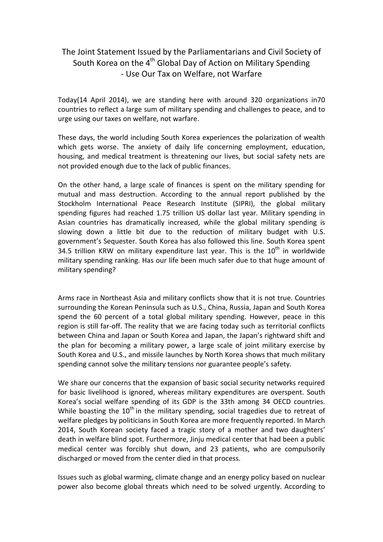## The Joint Statement Issued by the Parliamentarians and Civil Society of South Korea on the  $4<sup>th</sup>$  Global Day of Action on Military Spending - Use Our Tax on Welfare, not Warfare

Today(14 April 2014), we are standing here with around 320 organizations in70 countries to reflect a large sum of military spending and challenges to peace, and to urge using our taxes on welfare, not warfare.

These days, the world including South Korea experiences the polarization of wealth which gets worse. The anxiety of daily life concerning employment, education, housing, and medical treatment is threatening our lives, but social safety nets are not provided enough due to the lack of public finances.

On the other hand, a large scale of finances is spent on the military spending for mutual and mass destruction. According to the annual report published by the Stockholm International Peace Research Institute (SIPRI), the global military spending figures had reached 1.75 trillion US dollar last year. Military spending in Asian countries has dramatically increased, while the global military spending is slowing down a little bit due to the reduction of military budget with U.S. government's Sequester. South Korea has also followed this line. South Korea spent 34.5 trillion KRW on military expenditure last year. This is the  $10<sup>th</sup>$  in worldwide military spending ranking. Has our life been much safer due to that huge amount of military spending?

Arms race in Northeast Asia and military conflicts show that it is not true. Countries surrounding the Korean Peninsula such as U.S., China, Russia, Japan and South Korea spend the 60 percent of a total global military spending. However, peace in this region is still far-off. The reality that we are facing today such as territorial conflicts between China and Japan or South Korea and Japan, the Japan's rightward shift and the plan for becoming a military power, a large scale of joint military exercise by South Korea and U.S., and missile launches by North Korea shows that much military spending cannot solve the military tensions nor guarantee people's safety.

We share our concerns that the expansion of basic social security networks required for basic livelihood is ignored, whereas military expenditures are overspent. South Korea's social welfare spending of its GDP is the 33th among 34 OECD countries. While boasting the  $10<sup>th</sup>$  in the military spending, social tragedies due to retreat of welfare pledges by politicians in South Korea are more frequently reported. In March 2014, South Korean society faced a tragic story of a mother and two daughters' death in welfare blind spot. Furthermore, Jinju medical center that had been a public medical center was forcibly shut down, and 23 patients, who are compulsorily discharged or moved from the center died in that process.

Issues such as global warming, climate change and an energy policy based on nuclear power also become global threats which need to be solved urgently. According to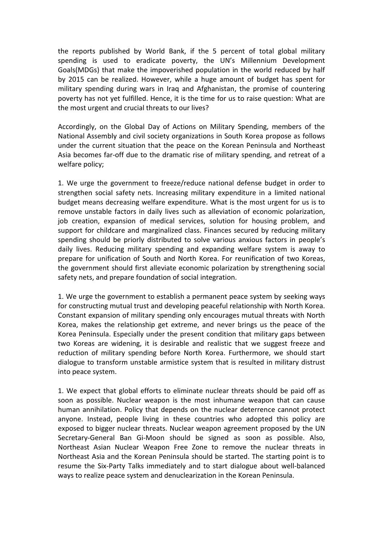the reports published by World Bank, if the 5 percent of total global military spending is used to eradicate poverty, the UN's Millennium Development Goals(MDGs) that make the impoverished population in the world reduced by half by 2015 can be realized. However, while a huge amount of budget has spent for military spending during wars in Iraq and Afghanistan, the promise of countering poverty has not yet fulfilled. Hence, it is the time for us to raise question: What are the most urgent and crucial threats to our lives?

Accordingly, on the Global Day of Actions on Military Spending, members of the National Assembly and civil society organizations in South Korea propose as follows under the current situation that the peace on the Korean Peninsula and Northeast Asia becomes far-off due to the dramatic rise of military spending, and retreat of a welfare policy;

1. We urge the government to freeze/reduce national defense budget in order to strengthen social safety nets. Increasing military expenditure in a limited national budget means decreasing welfare expenditure. What is the most urgent for us is to remove unstable factors in daily lives such as alleviation of economic polarization, job creation, expansion of medical services, solution for housing problem, and support for childcare and marginalized class. Finances secured by reducing military spending should be priorly distributed to solve various anxious factors in people's daily lives. Reducing military spending and expanding welfare system is away to prepare for unification of South and North Korea. For reunification of two Koreas, the government should first alleviate economic polarization by strengthening social safety nets, and prepare foundation of social integration.

1. We urge the government to establish a permanent peace system by seeking ways for constructing mutual trust and developing peaceful relationship with North Korea. Constant expansion of military spending only encourages mutual threats with North Korea, makes the relationship get extreme, and never brings us the peace of the Korea Peninsula. Especially under the present condition that military gaps between two Koreas are widening, it is desirable and realistic that we suggest freeze and reduction of military spending before North Korea. Furthermore, we should start dialogue to transform unstable armistice system that is resulted in military distrust into peace system.

1. We expect that global efforts to eliminate nuclear threats should be paid off as soon as possible. Nuclear weapon is the most inhumane weapon that can cause human annihilation. Policy that depends on the nuclear deterrence cannot protect anyone. Instead, people living in these countries who adopted this policy are exposed to bigger nuclear threats. Nuclear weapon agreement proposed by the UN Secretary-General Ban Gi-Moon should be signed as soon as possible. Also, Northeast Asian Nuclear Weapon Free Zone to remove the nuclear threats in Northeast Asia and the Korean Peninsula should be started. The starting point is to resume the Six-Party Talks immediately and to start dialogue about well-balanced ways to realize peace system and denuclearization in the Korean Peninsula.